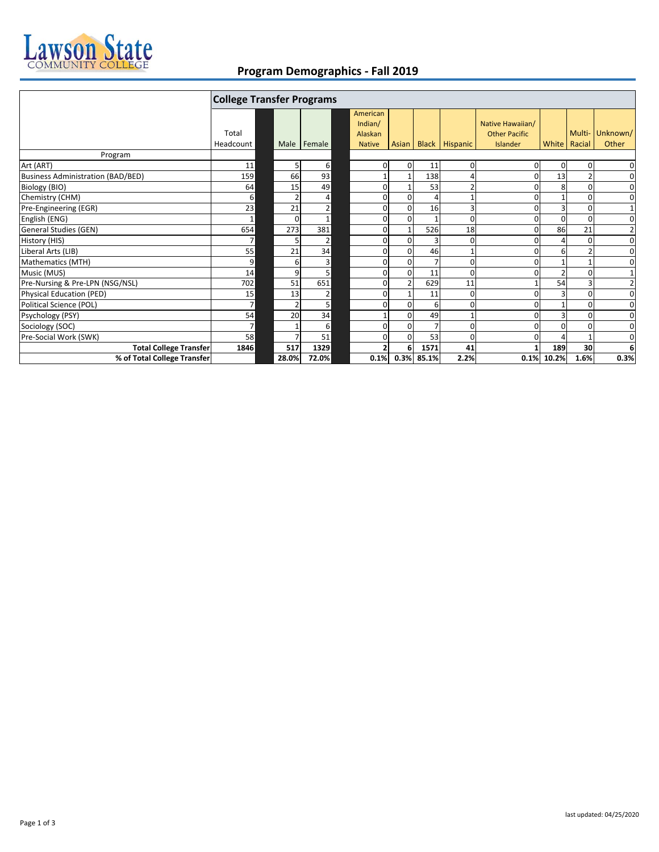

## **Program Demographics ‐ Fall 2019**

|                                          | <b>College Transfer Programs</b> |          |        |  |                                |                |                |                      |                                          |          |                |                |
|------------------------------------------|----------------------------------|----------|--------|--|--------------------------------|----------------|----------------|----------------------|------------------------------------------|----------|----------------|----------------|
|                                          | Total                            |          |        |  | American<br>Indian/<br>Alaskan |                |                |                      | Native Hawaiian/<br><b>Other Pacific</b> |          | Multi-         | Unknown/       |
|                                          | Headcount                        | Male     | Female |  | <b>Native</b>                  |                |                | Asian Black Hispanic | Islander                                 |          | White   Racial | Other          |
| Program                                  |                                  |          |        |  |                                |                |                |                      |                                          |          |                |                |
| Art (ART)                                | 11                               | 5        | 6      |  | 0                              | $\overline{0}$ | 11             | 0                    | 0                                        | $\Omega$ | 0              | 0              |
| <b>Business Administration (BAD/BED)</b> | 159                              | 66       | 93     |  |                                |                | 138            |                      |                                          | 13       |                | $\mathbf 0$    |
| Biology (BIO)                            | 64                               | 15       | 49     |  | 0                              |                | 53             | $\overline{2}$       |                                          | 8        |                | $\mathbf 0$    |
| Chemistry (CHM)                          | 6                                |          | 4      |  | $\Omega$                       | $\Omega$       | $\Delta$       |                      |                                          |          | O              | $\mathbf 0$    |
| Pre-Engineering (EGR)                    | 23                               | 21       | 2      |  | 0                              | $\Omega$       | 16             | 3                    |                                          |          | $\Omega$       | 1              |
| English (ENG)                            | $\mathbf{1}$                     | $\Omega$ |        |  | 0                              | $\Omega$       |                | ŋ                    |                                          |          |                | $\mathbf 0$    |
| General Studies (GEN)                    | 654                              | 273      | 381    |  | 0                              |                | 526            | 18                   |                                          | 86       | 21             | $\overline{2}$ |
| History (HIS)                            | 7                                |          | 2      |  | 0                              | $\Omega$       | 3              | ŋ                    |                                          |          | O              | $\mathbf 0$    |
| Liberal Arts (LIB)                       | 55                               | 21       | 34     |  | $\mathbf{0}$                   | $\Omega$       | 46             |                      |                                          | 6        |                | $\mathbf 0$    |
| Mathematics (MTH)                        | 9                                | 6        | 3      |  | $\mathbf{0}$                   | $\Omega$       | $\overline{7}$ | 0                    |                                          |          |                | $\mathbf 0$    |
| Music (MUS)                              | 14                               | 9        | 5      |  | 0                              | $\Omega$       | 11             | 0                    |                                          |          |                | $1\,$          |
| Pre-Nursing & Pre-LPN (NSG/NSL)          | 702                              | 51       | 651    |  | 0                              |                | 629            | 11                   |                                          | 54       |                | $\overline{2}$ |
| Physical Education (PED)                 | 15                               | 13       | 2      |  | $\Omega$                       |                | 11             | 0                    |                                          |          | $\Omega$       | $\mathbf 0$    |
| Political Science (POL)                  | $\overline{7}$                   |          | 5      |  | $\Omega$                       | $\Omega$       | 6              | 0                    |                                          |          | $\Omega$       | 0              |
| Psychology (PSY)                         | 54                               | 20       | 34     |  |                                | $\Omega$       | 49             |                      |                                          |          |                | $\mathbf 0$    |
| Sociology (SOC)                          | $\overline{7}$                   |          | 6      |  | 0                              | $\Omega$       | $\overline{7}$ | 0                    |                                          |          |                | 0              |
| Pre-Social Work (SWK)                    | 58                               |          | 51     |  | 0                              | $\Omega$       | 53             | 0                    |                                          |          |                | $\mathbf 0$    |
| <b>Total College Transfer</b>            | 1846                             | 517      | 1329   |  | 2                              | 6              | 1571           | 41                   |                                          | 189      | 30             | 6              |
| % of Total College Transfer              |                                  | 28.0%    | 72.0%  |  | 0.1%                           | 0.3%           | 85.1%          | 2.2%                 | 0.1%                                     | 10.2%    | 1.6%           | 0.3%           |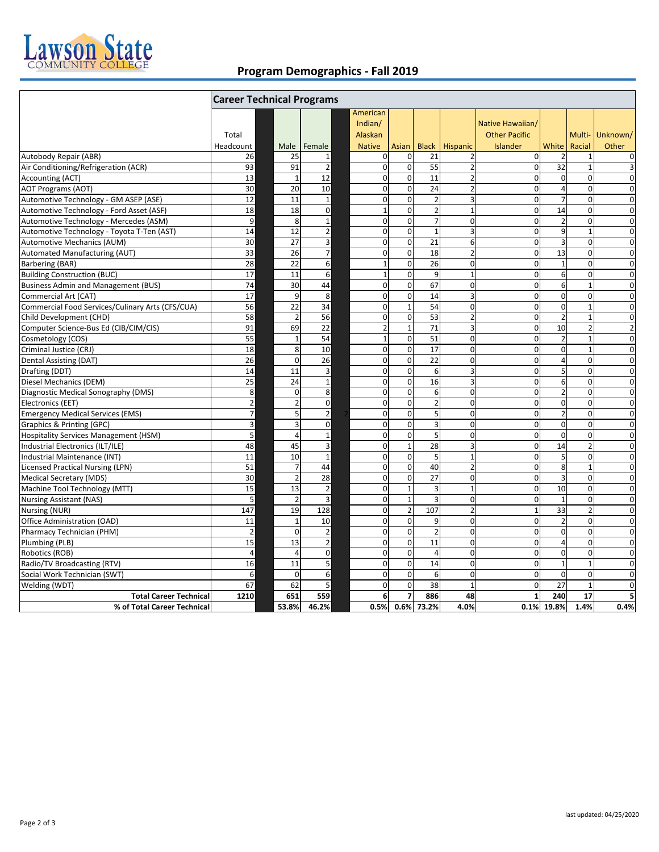

## **Program Demographics ‐ Fall 2019**

|                                                  | <b>Career Technical Programs</b> |                      |                             |                                |                            |                |                                           |                                          |                         |                            |                               |  |
|--------------------------------------------------|----------------------------------|----------------------|-----------------------------|--------------------------------|----------------------------|----------------|-------------------------------------------|------------------------------------------|-------------------------|----------------------------|-------------------------------|--|
|                                                  | Total                            |                      |                             | American<br>Indian/<br>Alaskan |                            |                |                                           | Native Hawaiian/<br><b>Other Pacific</b> |                         | Multi-                     | Unknown/                      |  |
|                                                  | Headcount                        | Male                 | Female                      | <b>Native</b>                  | <b>Asian</b>               |                | Black   Hispanic                          | Islander                                 | White<br>$\mathcal{I}$  | Racial                     | Other                         |  |
| Autobody Repair (ABR)                            | 26<br>93                         | 25                   | 1                           | 0<br>$\mathbf 0$               | $\mathbf 0$<br>$\mathbf 0$ | 21             | $\overline{2}$<br>$\overline{2}$          | $\Omega$                                 | 32                      | $\mathbf{1}$               | 0                             |  |
| Air Conditioning/Refrigeration (ACR)             | 13                               | 91<br>$\overline{1}$ | $\overline{2}$<br>12        | $\mathbf 0$                    | $\mathbf 0$                | 55             | $\overline{2}$                            | $\mathbf 0$<br>$\mathbf 0$               | $\mathbf 0$             | $\mathbf 1$<br>$\mathbf 0$ | 3<br>$\overline{0}$           |  |
| Accounting (ACT)                                 | 30                               | 20                   |                             | $\mathbf 0$                    | $\mathbf 0$                | 11<br>24       |                                           | $\mathbf 0$                              | $\overline{4}$          | $\mathbf 0$                |                               |  |
| <b>AOT Programs (AOT)</b>                        | 12                               |                      | 10                          |                                |                            | $\overline{2}$ | $\overline{2}$<br>$\overline{\mathbf{3}}$ | $\Omega$                                 | $\overline{7}$          | $\Omega$                   | $\mathbf 0$                   |  |
| Automotive Technology - GM ASEP (ASE)            |                                  | 11                   | $\mathbf{1}$<br>$\mathbf 0$ | 0<br>$\mathbf 1$               | $\mathbf 0$<br>$\mathbf 0$ | $\overline{2}$ | $\mathbf{1}$                              | $\mathbf 0$                              | 14                      | $\pmb{0}$                  | $\mathbf 0$                   |  |
| Automotive Technology - Ford Asset (ASF)         | 18                               | 18<br>8              |                             | 0                              | $\mathbf 0$                | $\overline{7}$ | $\mathbf 0$                               | $\mathbf 0$                              |                         | $\mathbf 0$                | $\mathbf 0$<br>$\overline{0}$ |  |
| Automotive Technology - Mercedes (ASM)           | $\boldsymbol{9}$                 |                      | $\mathbf{1}$                |                                |                            |                |                                           | $\mathbf 0$                              | $\overline{2}$          | $\mathbf{1}$               |                               |  |
| Automotive Technology - Toyota T-Ten (AST)       | 14                               | 12                   | $\overline{2}$              | $\mathbf 0$                    | $\mathbf 0$                | $\mathbf{1}$   | 3                                         |                                          | $\boldsymbol{9}$        |                            | $\mathbf 0$                   |  |
| <b>Automotive Mechanics (AUM)</b>                | 30                               | 27                   | 3                           | $\mathbf 0$                    | $\mathbf 0$                | 21             | 6                                         | $\mathbf 0$                              | 3                       | $\mathbf 0$                | $\mathbf 0$                   |  |
| Automated Manufacturing (AUT)                    | 33                               | 26                   | $\overline{7}$              | $\mathbf 0$                    | $\mathbf 0$                | 18             | $\overline{c}$                            | $\mathbf 0$                              | 13                      | $\mathbf 0$                | 0                             |  |
| Barbering (BAR)                                  | 28                               | 22                   | 6                           | $\mathbf{1}$                   | $\mathbf 0$                | 26             | $\mathbf 0$                               | $\mathbf 0$                              | $\mathbf{1}$            | $\mathbf 0$                | $\mathbf 0$                   |  |
| <b>Building Construction (BUC)</b>               | 17                               | 11                   | 6                           | $\mathbf{1}$                   | $\mathbf 0$                | 9              | $\mathbf{1}$                              | $\mathbf 0$                              | 6                       | $\mathbf 0$                | 0                             |  |
| <b>Business Admin and Management (BUS)</b>       | 74                               | 30                   | 44                          | $\pmb{0}$                      | $\mathbf 0$                | 67             | $\mathbf 0$                               | $\mathbf 0$                              | 6                       | $\mathbf{1}$               | $\mathbf 0$                   |  |
| Commercial Art (CAT)                             | 17                               | 9                    | 8                           | $\mathbf 0$                    | $\mathbf 0$                | 14             | 3                                         | $\mathbf 0$                              | $\mathbf 0$             | $\mathbf 0$                | $\mathbf 0$                   |  |
| Commercial Food Services/Culinary Arts (CFS/CUA) | 56                               | 22                   | 34                          | $\mathbf 0$                    | $\mathbf{1}$               | 54             | $\mathbf 0$                               | $\mathbf 0$                              | $\mathbf{0}$            | $\mathbf{1}$               | $\mathbf 0$                   |  |
| Child Development (CHD)                          | 58                               | $\overline{2}$       | 56                          | $\mathbf 0$                    | $\mathbf 0$                | 53             | $\overline{2}$                            | $\mathbf 0$                              | $\overline{2}$          | $\mathbf{1}$               | $\mathbf 0$                   |  |
| Computer Science-Bus Ed (CIB/CIM/CIS)            | 91                               | 69                   | 22                          | $\overline{\mathbf{c}}$        | $\mathbf 1$                | 71             | 3                                         | $\mathbf 0$                              | 10                      | $\overline{2}$             | $\overline{a}$                |  |
| Cosmetology (COS)                                | 55                               | 1                    | 54                          | $\mathbf{1}$                   | $\mathbf 0$                | 51             | $\mathbf 0$                               | $\Omega$                                 | $\overline{2}$          | $\mathbf{1}$               | $\mathbf 0$                   |  |
| Criminal Justice (CRJ)                           | 18                               | 8                    | 10                          | $\boldsymbol{0}$               | $\pmb{0}$                  | 17             | $\mathbf 0$                               | $\mathbf 0$                              | $\mathbf 0$             | $\mathbf{1}$               | 0                             |  |
| Dental Assisting (DAT)                           | 26                               | $\Omega$             | 26                          | $\mathbf 0$                    | $\mathbf 0$                | 22             | $\mathbf 0$                               | $\mathbf 0$                              | $\overline{4}$          | $\mathbf 0$                | $\mathbf 0$                   |  |
| Drafting (DDT)                                   | 14                               | 11                   | 3                           | $\mathbf 0$                    | $\mathbf 0$                | 6              | $\overline{\mathbf{3}}$                   | $\mathbf 0$                              | 5                       | $\pmb{0}$                  | $\mathbf 0$                   |  |
| Diesel Mechanics (DEM)                           | 25                               | 24                   | $\mathbf{1}$                | 0                              | $\mathbf 0$                | 16             | $\overline{\mathbf{3}}$                   | $\Omega$                                 | 6                       | $\Omega$                   | $\mathbf 0$                   |  |
| Diagnostic Medical Sonography (DMS)              | 8 <sup>1</sup>                   | $\Omega$             | 8                           | 0                              | $\mathbf 0$                | 6              | $\mathbf 0$                               | $\mathbf 0$                              | $\overline{2}$          | $\mathbf 0$                | $\mathbf 0$                   |  |
| Electronics (EET)                                | $\overline{2}$                   |                      | $\mathbf 0$                 | 0                              | $\mathbf 0$                | $\overline{2}$ | $\mathbf 0$                               | $\mathbf 0$                              | $\mathbf 0$             | $\mathbf 0$                | $\overline{0}$                |  |
| <b>Emergency Medical Services (EMS)</b>          | $\overline{\phantom{a}}$         | 5                    | $\overline{2}$              | $\mathbf 0$                    | $\mathbf 0$                | 5              | $\overline{0}$                            | $\mathbf 0$                              | $\overline{2}$          | $\mathbf 0$                | $\mathbf 0$                   |  |
| Graphics & Printing (GPC)                        | 3                                |                      | $\mathbf 0$                 | $\mathbf 0$                    | $\mathbf 0$                | 3              | $\mathbf 0$                               | $\mathbf 0$                              | $\mathbf 0$             | $\mathbf 0$                | $\mathbf 0$                   |  |
| Hospitality Services Management (HSM)            | 5                                | 4                    | $\mathbf 1$                 | $\overline{0}$                 | $\mathbf 0$                | 5              | $\mathbf 0$                               | $\mathbf 0$                              | $\mathbf 0$             | $\boldsymbol{0}$           | 0                             |  |
| Industrial Electronics (ILT/ILE)                 | 48                               | 45                   | 3                           | $\mathbf 0$                    | $\mathbf{1}$               | 28             | $\overline{3}$                            | $\mathbf 0$                              | 14                      | $\overline{2}$             | $\mathbf 0$                   |  |
| Industrial Maintenance (INT)                     | 11                               | 10                   | $\mathbf 1$                 | $\mathbf 0$                    | $\mathbf 0$                | 5              | $\mathbf 1$                               | $\mathbf 0$                              | 5                       | $\mathbf 0$                | 0                             |  |
| <b>Licensed Practical Nursing (LPN)</b>          | 51                               | $\overline{7}$       | 44                          | $\mathbf 0$                    | $\mathbf 0$                | 40             | $\overline{2}$                            | $\mathbf 0$                              | 8                       | $\mathbf{1}$               | $\mathbf 0$                   |  |
| Medical Secretary (MDS)                          | 30                               | $\overline{2}$       | 28                          | $\mathbf 0$                    | $\mathbf 0$                | 27             | $\mathbf 0$                               | $\mathbf 0$                              | $\overline{\mathbf{3}}$ | $\mathbf 0$                | $\mathbf 0$                   |  |
| Machine Tool Technology (MTT)                    | 15                               | 13                   | $\overline{2}$              | $\mathbf 0$                    | $\mathbf{1}$               | 3              | $\mathbf{1}$                              | $\mathbf 0$                              | 10                      | $\mathbf 0$                | $\mathbf 0$                   |  |
| <b>Nursing Assistant (NAS)</b>                   | 5                                | $\overline{2}$       | 3                           | $\mathbf 0$                    | $\mathbf{1}$               | $\overline{3}$ | $\mathbf 0$                               | $\mathbf 0$                              | $\mathbf{1}$            | $\Omega$                   | $\mathbf 0$                   |  |
| Nursing (NUR)                                    | 147                              | 19                   | 128                         | $\mathbf 0$                    | $\overline{2}$             | 107            | $\overline{2}$                            | $1\overline{ }$                          | 33                      | $\overline{2}$             | 0                             |  |
| Office Administration (OAD)                      | 11                               | $\overline{1}$       | 10                          | $\mathbf 0$                    | $\mathbf 0$                | 9              | $\mathbf 0$                               | $\mathbf 0$                              | $\overline{2}$          | $\mathbf 0$                | $\overline{0}$                |  |
| Pharmacy Technician (PHM)                        | $\overline{2}$                   | $\Omega$             | $\overline{2}$              | $\mathbf 0$                    | $\mathbf{0}$               | $\overline{2}$ | $\mathbf 0$                               | $\mathbf 0$                              | $\mathbf 0$             | $\mathbf 0$                | $\mathbf 0$                   |  |
| Plumbing (PLB)                                   | 15                               | 13                   | $\mathbf 2$                 | 0                              | $\mathbf 0$                | 11             | $\Omega$                                  | $\Omega$                                 | $\overline{4}$          | $\Omega$                   | $\mathbf 0$                   |  |
| Robotics (ROB)                                   | $\sqrt{4}$                       | $\overline{a}$       | $\mathbf 0$                 | $\mathbf 0$                    | $\mathbf 0$                | $\overline{4}$ | $\mathbf 0$                               | $\Omega$                                 | $\mathbf 0$             | $\pmb{0}$                  | $\mathbf 0$                   |  |
| Radio/TV Broadcasting (RTV)                      | 16                               | 11                   | 5                           | 0                              | $\mathbf 0$                | 14             | $\overline{0}$                            | $\mathbf 0$                              | $\mathbf{1}$            | $\mathbf{1}$               | $\overline{0}$                |  |
| Social Work Technician (SWT)                     | 6                                | $\mathbf 0$          | 6                           | 0                              | $\mathbf 0$                | 6              | $\mathbf 0$                               | $\mathbf 0$                              | $\mathbf 0$             | $\mathbf 0$                | $\mathbf 0$                   |  |
| Welding (WDT)                                    | 67                               | 62                   | 5                           | $\mathbf 0$                    | $\mathbf 0$                | 38             | $\mathbf{1}$                              | $\mathbf 0$                              | 27                      | $\mathbf{1}$               | $\overline{0}$                |  |
| <b>Total Career Technical</b>                    | 1210                             | 651                  | 559                         | 6                              | 7                          | 886            | 48                                        | $\mathbf{1}$                             | 240                     | 17                         | 5                             |  |
| % of Total Career Technical                      |                                  | 53.8%                | 46.2%                       | 0.5%                           | 0.6%                       | 73.2%          | 4.0%                                      |                                          | 0.1% 19.8%              | 1.4%                       | 0.4%                          |  |